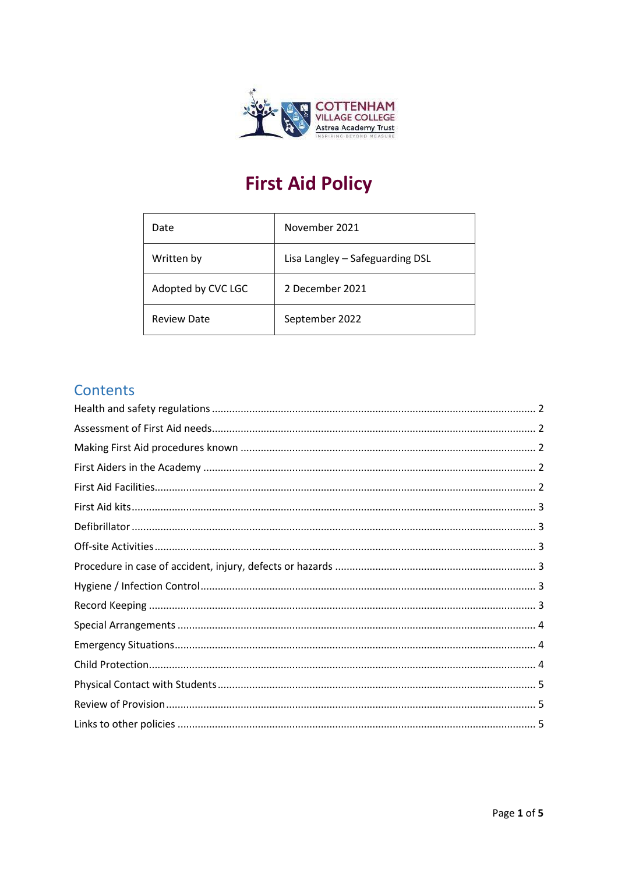

# **First Aid Policy**

| Date               | November 2021                   |
|--------------------|---------------------------------|
| Written by         | Lisa Langley - Safeguarding DSL |
| Adopted by CVC LGC | 2 December 2021                 |
| <b>Review Date</b> | September 2022                  |

# Contents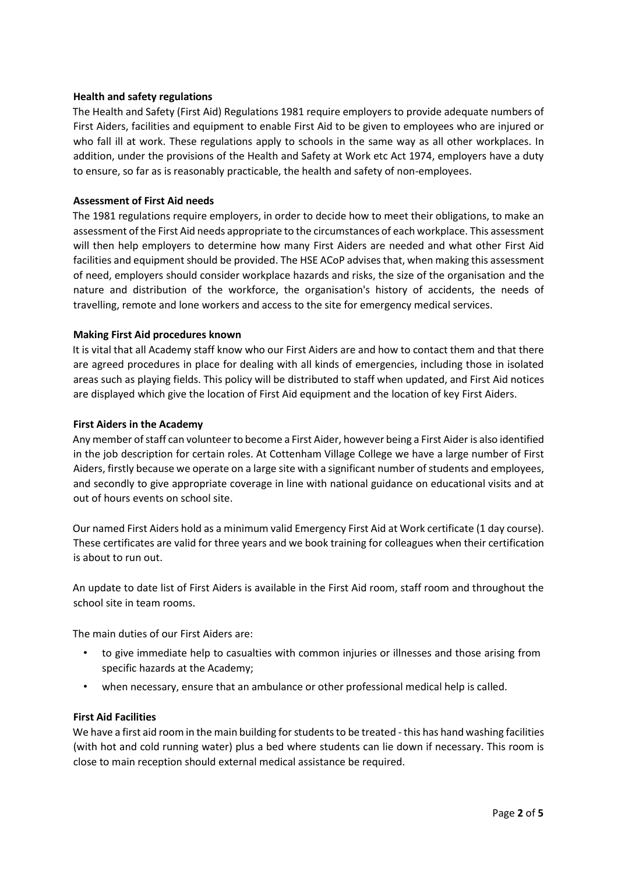## <span id="page-1-0"></span>**Health and safety regulations**

The Health and Safety (First Aid) Regulations 1981 require employers to provide adequate numbers of First Aiders, facilities and equipment to enable First Aid to be given to employees who are injured or who fall ill at work. These regulations apply to schools in the same way as all other workplaces. In addition, under the provisions of the Health and Safety at Work etc Act 1974, employers have a duty to ensure, so far as is reasonably practicable, the health and safety of non-employees.

## <span id="page-1-1"></span>**Assessment of First Aid needs**

The 1981 regulations require employers, in order to decide how to meet their obligations, to make an assessment of the First Aid needs appropriate to the circumstances of each workplace. This assessment will then help employers to determine how many First Aiders are needed and what other First Aid facilities and equipment should be provided. The HSE ACoP advises that, when making this assessment of need, employers should consider workplace hazards and risks, the size of the organisation and the nature and distribution of the workforce, the organisation's history of accidents, the needs of travelling, remote and lone workers and access to the site for emergency medical services.

# <span id="page-1-2"></span>**Making First Aid procedures known**

It is vital that all Academy staff know who our First Aiders are and how to contact them and that there are agreed procedures in place for dealing with all kinds of emergencies, including those in isolated areas such as playing fields. This policy will be distributed to staff when updated, and First Aid notices are displayed which give the location of First Aid equipment and the location of key First Aiders.

#### <span id="page-1-3"></span>**First Aiders in the Academy**

Any member of staff can volunteer to become a First Aider, however being a First Aider is also identified in the job description for certain roles. At Cottenham Village College we have a large number of First Aiders, firstly because we operate on a large site with a significant number of students and employees, and secondly to give appropriate coverage in line with national guidance on educational visits and at out of hours events on school site.

Our named First Aiders hold as a minimum valid Emergency First Aid at Work certificate (1 day course). These certificates are valid for three years and we book training for colleagues when their certification is about to run out.

An update to date list of First Aiders is available in the First Aid room, staff room and throughout the school site in team rooms.

The main duties of our First Aiders are:

- to give immediate help to casualties with common injuries or illnesses and those arising from specific hazards at the Academy;
- when necessary, ensure that an ambulance or other professional medical help is called.

#### <span id="page-1-4"></span>**First Aid Facilities**

We have a first aid room in the main building for students to be treated - this has hand washing facilities (with hot and cold running water) plus a bed where students can lie down if necessary. This room is close to main reception should external medical assistance be required.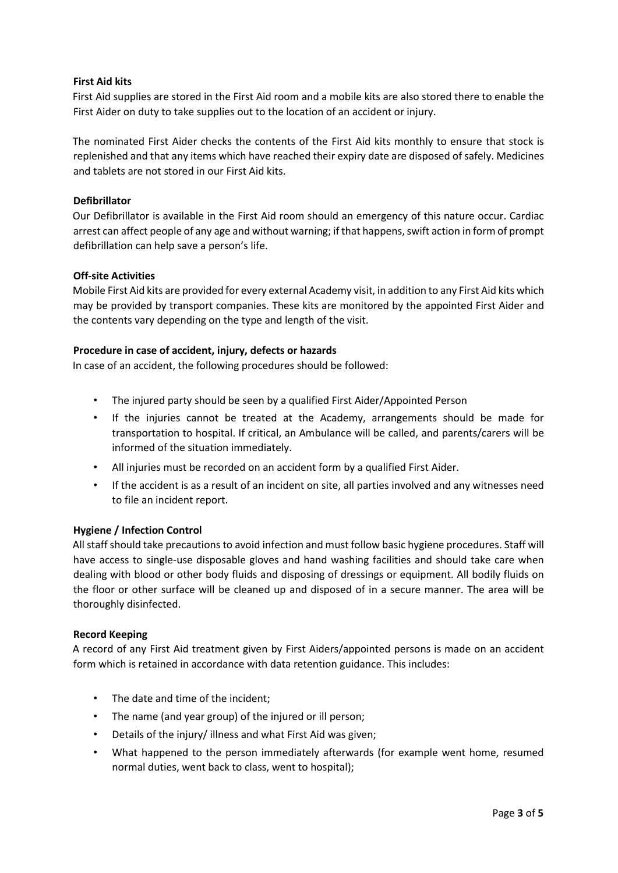# <span id="page-2-0"></span>**First Aid kits**

First Aid supplies are stored in the First Aid room and a mobile kits are also stored there to enable the First Aider on duty to take supplies out to the location of an accident or injury.

The nominated First Aider checks the contents of the First Aid kits monthly to ensure that stock is replenished and that any items which have reached their expiry date are disposed of safely. Medicines and tablets are not stored in our First Aid kits.

## <span id="page-2-1"></span>**Defibrillator**

Our Defibrillator is available in the First Aid room should an emergency of this nature occur. Cardiac arrest can affect people of any age and without warning; if that happens, swift action in form of prompt defibrillation can help save a person's life.

# <span id="page-2-2"></span>**Off-site Activities**

Mobile First Aid kits are provided for every external Academy visit, in addition to any First Aid kits which may be provided by transport companies. These kits are monitored by the appointed First Aider and the contents vary depending on the type and length of the visit.

# <span id="page-2-3"></span>**Procedure in case of accident, injury, defects or hazards**

In case of an accident, the following procedures should be followed:

- The injured party should be seen by a qualified First Aider/Appointed Person
- If the injuries cannot be treated at the Academy, arrangements should be made for transportation to hospital. If critical, an Ambulance will be called, and parents/carers will be informed of the situation immediately.
- All injuries must be recorded on an accident form by a qualified First Aider.
- If the accident is as a result of an incident on site, all parties involved and any witnesses need to file an incident report.

#### <span id="page-2-4"></span>**Hygiene / Infection Control**

All staff should take precautions to avoid infection and must follow basic hygiene procedures. Staff will have access to single-use disposable gloves and hand washing facilities and should take care when dealing with blood or other body fluids and disposing of dressings or equipment. All bodily fluids on the floor or other surface will be cleaned up and disposed of in a secure manner. The area will be thoroughly disinfected.

#### <span id="page-2-5"></span>**Record Keeping**

A record of any First Aid treatment given by First Aiders/appointed persons is made on an accident form which is retained in accordance with data retention guidance. This includes:

- The date and time of the incident;
- The name (and year group) of the injured or ill person;
- Details of the injury/ illness and what First Aid was given;
- What happened to the person immediately afterwards (for example went home, resumed normal duties, went back to class, went to hospital);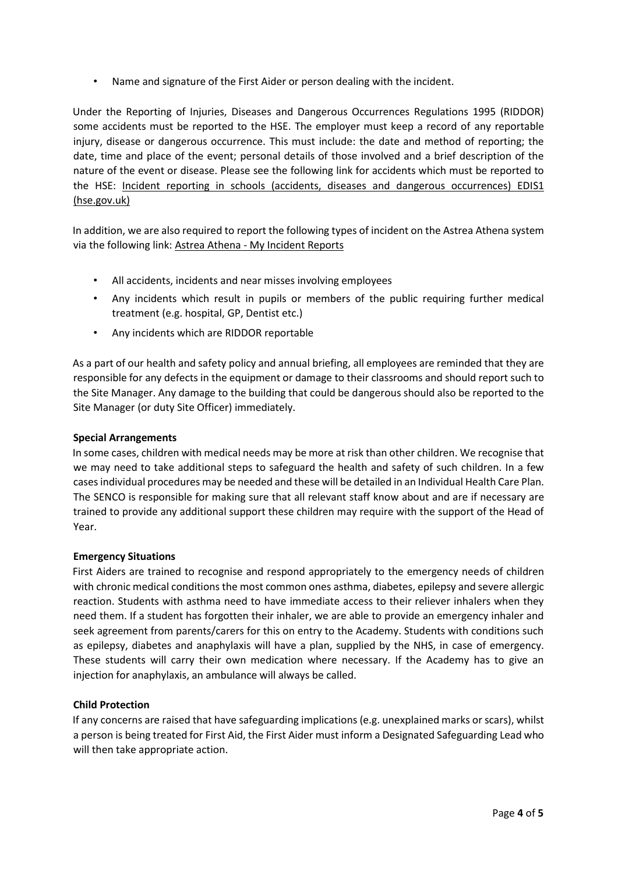• Name and signature of the First Aider or person dealing with the incident.

Under the Reporting of Injuries, Diseases and Dangerous Occurrences Regulations 1995 (RIDDOR) some accidents must be reported to the HSE. The employer must keep a record of any reportable injury, disease or dangerous occurrence. This must include: the date and method of reporting; the date, time and place of the event; personal details of those involved and a brief description of the nature of the event or disease. Please see the following link for accidents which must be reported to the HSE: [Incident reporting in schools \(accidents, diseases and dangerous occurrences\) EDIS1](https://www.hse.gov.uk/pubns/edis1.pdf) [\(hse.gov.uk\)](https://www.hse.gov.uk/pubns/edis1.pdf) 

In addition, we are also required to report the following types of incident on the Astrea Athena system via the following link: [Astrea Athena](https://astreaathena.net/incidents) [-](https://astreaathena.net/incidents) [My Incident Reports](https://astreaathena.net/incidents) 

- All accidents, incidents and near misses involving employees
- Any incidents which result in pupils or members of the public requiring further medical treatment (e.g. hospital, GP, Dentist etc.)
- Any incidents which are RIDDOR reportable

As a part of our health and safety policy and annual briefing, all employees are reminded that they are responsible for any defects in the equipment or damage to their classrooms and should report such to the Site Manager. Any damage to the building that could be dangerous should also be reported to the Site Manager (or duty Site Officer) immediately.

## <span id="page-3-0"></span>**Special Arrangements**

In some cases, children with medical needs may be more at risk than other children. We recognise that we may need to take additional steps to safeguard the health and safety of such children. In a few cases individual procedures may be needed and these will be detailed in an Individual Health Care Plan. The SENCO is responsible for making sure that all relevant staff know about and are if necessary are trained to provide any additional support these children may require with the support of the Head of Year.

#### <span id="page-3-1"></span>**Emergency Situations**

First Aiders are trained to recognise and respond appropriately to the emergency needs of children with chronic medical conditions the most common ones asthma, diabetes, epilepsy and severe allergic reaction. Students with asthma need to have immediate access to their reliever inhalers when they need them. If a student has forgotten their inhaler, we are able to provide an emergency inhaler and seek agreement from parents/carers for this on entry to the Academy. Students with conditions such as epilepsy, diabetes and anaphylaxis will have a plan, supplied by the NHS, in case of emergency. These students will carry their own medication where necessary. If the Academy has to give an injection for anaphylaxis, an ambulance will always be called.

# <span id="page-3-2"></span>**Child Protection**

If any concerns are raised that have safeguarding implications (e.g. unexplained marks or scars), whilst a person is being treated for First Aid, the First Aider must inform a Designated Safeguarding Lead who will then take appropriate action.